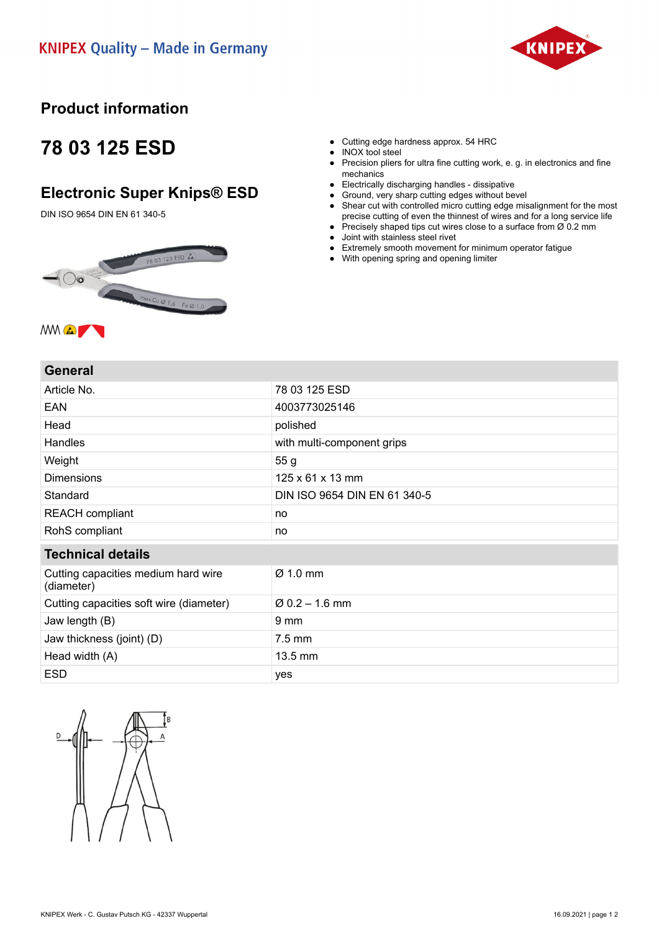

### **Product information**

## **78 03 125 ESD**

### **Electronic Super Knips® ESD**

DIN ISO 9654 DIN EN 61 340-5





- Precision pliers for ultra fine cutting work, e. g. in electronics and fine mechanics
- Electrically discharging handles dissipative
- Ground, very sharp cutting edges without bevel
- Shear cut with controlled micro cutting edge misalignment for the most precise cutting of even the thinnest of wires and for a long service life
- Precisely shaped tips cut wires close to a surface from  $\emptyset$  0.2 mm ● Joint with stainless steel rivet
- 
- Extremely smooth movement for minimum operator fatigue ● With opening spring and opening limiter

#### **General**

| Article No.                                       | 78 03 125 ESD                |
|---------------------------------------------------|------------------------------|
| EAN                                               | 4003773025146                |
| Head                                              | polished                     |
| <b>Handles</b>                                    | with multi-component grips   |
| Weight                                            | 55 g                         |
| <b>Dimensions</b>                                 | $125 \times 61 \times 13$ mm |
| Standard                                          | DIN ISO 9654 DIN EN 61 340-5 |
| <b>REACH</b> compliant                            | no                           |
| RohS compliant                                    | no                           |
| <b>Technical details</b>                          |                              |
| Cutting capacities medium hard wire<br>(diameter) | $\varnothing$ 1.0 mm         |
| Cutting capacities soft wire (diameter)           | $\varnothing$ 0.2 – 1.6 mm   |
| Jaw length (B)                                    | 9 <sub>mm</sub>              |
| Jaw thickness (joint) (D)                         | $7.5 \text{ mm}$             |
| Head width (A)                                    | 13.5 mm                      |
| <b>ESD</b>                                        | yes                          |